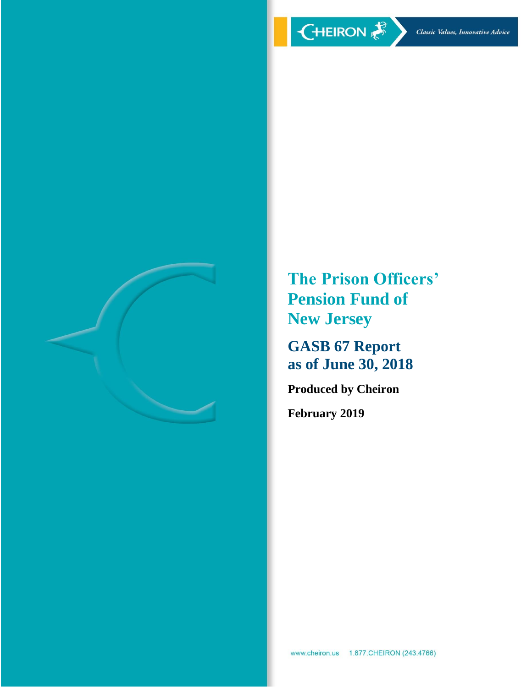

**The Prison Officers' Pension Fund of New Jersey**

**GASB 67 Report as of June 30, 2018**

**Produced by Cheiron**

**February 2019**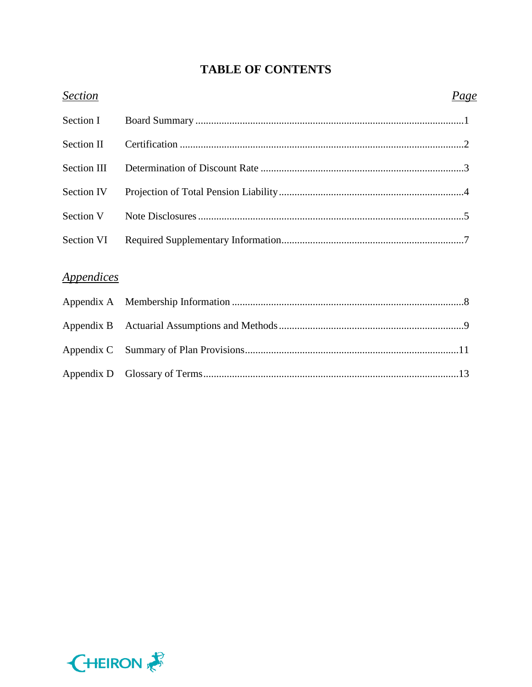# **TABLE OF CONTENTS**

| <b>Section</b>                  | <u>Page</u> |
|---------------------------------|-------------|
| Section I                       |             |
| <b>Section II</b>               |             |
| Section III                     |             |
| Section IV                      |             |
| Section V                       |             |
| Section VI                      |             |
| <i><u><b>Appendices</b></u></i> |             |
|                                 |             |
|                                 |             |
| Appendix C                      |             |
| Appendix D                      |             |

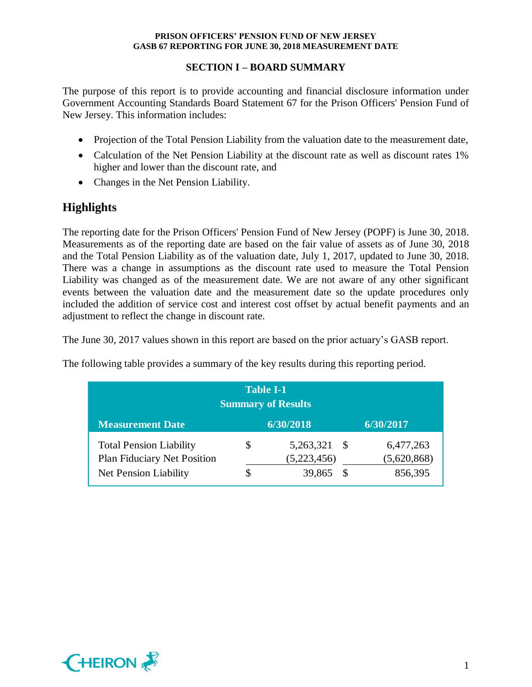## **SECTION I – BOARD SUMMARY**

The purpose of this report is to provide accounting and financial disclosure information under Government Accounting Standards Board Statement 67 for the Prison Officers' Pension Fund of New Jersey. This information includes:

- Projection of the Total Pension Liability from the valuation date to the measurement date,
- Calculation of the Net Pension Liability at the discount rate as well as discount rates 1% higher and lower than the discount rate, and
- Changes in the Net Pension Liability.

# **Highlights**

The reporting date for the Prison Officers' Pension Fund of New Jersey (POPF) is June 30, 2018. Measurements as of the reporting date are based on the fair value of assets as of June 30, 2018 and the Total Pension Liability as of the valuation date, July 1, 2017, updated to June 30, 2018. There was a change in assumptions as the discount rate used to measure the Total Pension Liability was changed as of the measurement date. We are not aware of any other significant events between the valuation date and the measurement date so the update procedures only included the addition of service cost and interest cost offset by actual benefit payments and an adjustment to reflect the change in discount rate.

The June 30, 2017 values shown in this report are based on the prior actuary's GASB report.

| <b>Table I-1</b><br><b>Summary of Results</b>                        |    |                             |    |                          |
|----------------------------------------------------------------------|----|-----------------------------|----|--------------------------|
| <b>Measurement Date</b>                                              |    | 6/30/2018                   |    | 6/30/2017                |
| <b>Total Pension Liability</b><br><b>Plan Fiduciary Net Position</b> | \$ | 5,263,321 \$<br>(5,223,456) |    | 6,477,263<br>(5,620,868) |
| Net Pension Liability                                                |    | 39,865                      | -S | 856,395                  |

The following table provides a summary of the key results during this reporting period.

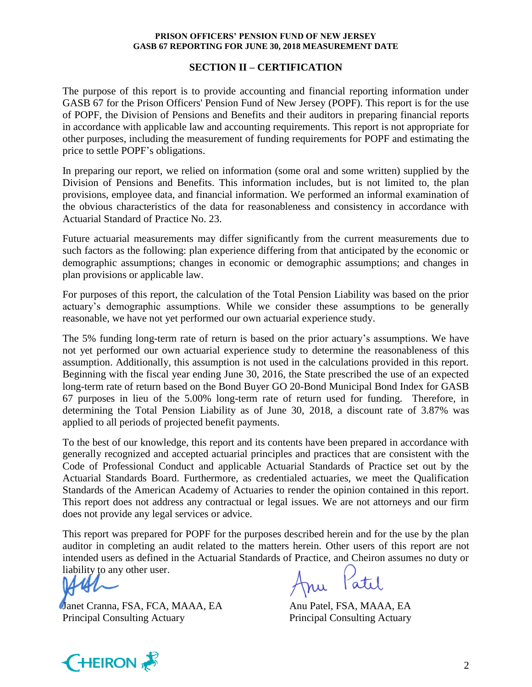#### **SECTION II – CERTIFICATION**

The purpose of this report is to provide accounting and financial reporting information under GASB 67 for the Prison Officers' Pension Fund of New Jersey (POPF). This report is for the use of POPF, the Division of Pensions and Benefits and their auditors in preparing financial reports in accordance with applicable law and accounting requirements. This report is not appropriate for other purposes, including the measurement of funding requirements for POPF and estimating the price to settle POPF's obligations.

In preparing our report, we relied on information (some oral and some written) supplied by the Division of Pensions and Benefits. This information includes, but is not limited to, the plan provisions, employee data, and financial information. We performed an informal examination of the obvious characteristics of the data for reasonableness and consistency in accordance with Actuarial Standard of Practice No. 23.

Future actuarial measurements may differ significantly from the current measurements due to such factors as the following: plan experience differing from that anticipated by the economic or demographic assumptions; changes in economic or demographic assumptions; and changes in plan provisions or applicable law.

For purposes of this report, the calculation of the Total Pension Liability was based on the prior actuary's demographic assumptions. While we consider these assumptions to be generally reasonable, we have not yet performed our own actuarial experience study.

The 5% funding long-term rate of return is based on the prior actuary's assumptions. We have not yet performed our own actuarial experience study to determine the reasonableness of this assumption. Additionally, this assumption is not used in the calculations provided in this report. Beginning with the fiscal year ending June 30, 2016, the State prescribed the use of an expected long-term rate of return based on the Bond Buyer GO 20-Bond Municipal Bond Index for GASB 67 purposes in lieu of the 5.00% long-term rate of return used for funding. Therefore, in determining the Total Pension Liability as of June 30, 2018, a discount rate of 3.87% was applied to all periods of projected benefit payments.

To the best of our knowledge, this report and its contents have been prepared in accordance with generally recognized and accepted actuarial principles and practices that are consistent with the Code of Professional Conduct and applicable Actuarial Standards of Practice set out by the Actuarial Standards Board. Furthermore, as credentialed actuaries, we meet the Qualification Standards of the American Academy of Actuaries to render the opinion contained in this report. This report does not address any contractual or legal issues. We are not attorneys and our firm does not provide any legal services or advice.

This report was prepared for POPF for the purposes described herein and for the use by the plan auditor in completing an audit related to the matters herein. Other users of this report are not intended users as defined in the Actuarial Standards of Practice, and Cheiron assumes no duty or liability to any other user.

Janet Cranna, FSA, FCA, MAAA, EA Anu Patel, FSA, MAAA, EA Principal Consulting Actuary Principal Consulting Actuary

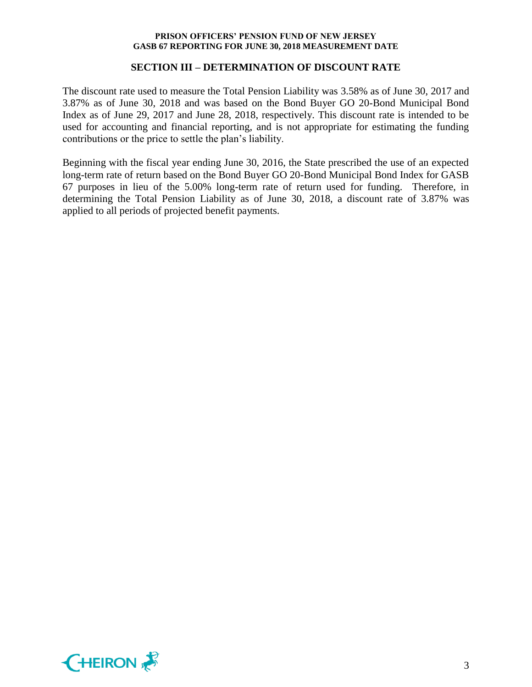#### **SECTION III – DETERMINATION OF DISCOUNT RATE**

The discount rate used to measure the Total Pension Liability was 3.58% as of June 30, 2017 and 3.87% as of June 30, 2018 and was based on the Bond Buyer GO 20-Bond Municipal Bond Index as of June 29, 2017 and June 28, 2018, respectively. This discount rate is intended to be used for accounting and financial reporting, and is not appropriate for estimating the funding contributions or the price to settle the plan's liability.

Beginning with the fiscal year ending June 30, 2016, the State prescribed the use of an expected long-term rate of return based on the Bond Buyer GO 20-Bond Municipal Bond Index for GASB 67 purposes in lieu of the 5.00% long-term rate of return used for funding. Therefore, in determining the Total Pension Liability as of June 30, 2018, a discount rate of 3.87% was applied to all periods of projected benefit payments.

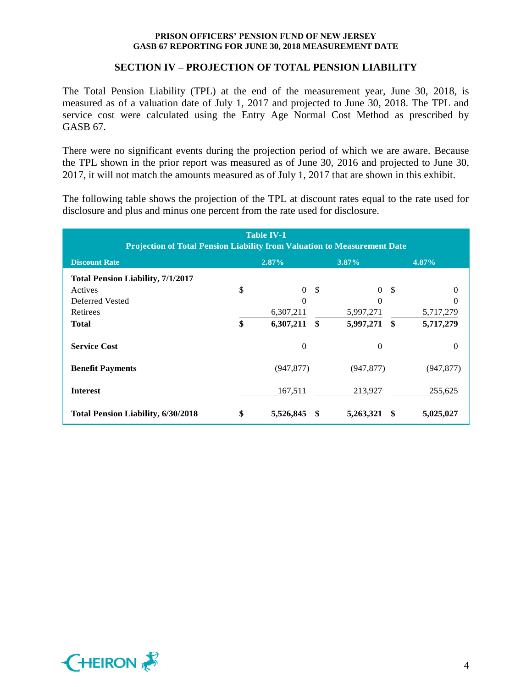## **SECTION IV – PROJECTION OF TOTAL PENSION LIABILITY**

The Total Pension Liability (TPL) at the end of the measurement year, June 30, 2018, is measured as of a valuation date of July 1, 2017 and projected to June 30, 2018. The TPL and service cost were calculated using the Entry Age Normal Cost Method as prescribed by GASB 67.

There were no significant events during the projection period of which we are aware. Because the TPL shown in the prior report was measured as of June 30, 2016 and projected to June 30, 2017, it will not match the amounts measured as of July 1, 2017 that are shown in this exhibit.

The following table shows the projection of the TPL at discount rates equal to the rate used for disclosure and plus and minus one percent from the rate used for disclosure.

| <b>Table IV-1</b><br><b>Projection of Total Pension Liability from Valuation to Measurement Date</b> |    |                  |                   |                |                         |            |
|------------------------------------------------------------------------------------------------------|----|------------------|-------------------|----------------|-------------------------|------------|
| <b>Discount Rate</b>                                                                                 |    | $2.87\%$         |                   | $3.87\%$       |                         | 4.87%      |
| <b>Total Pension Liability, 7/1/2017</b>                                                             |    |                  |                   |                |                         |            |
| Actives                                                                                              | \$ | $\Omega$         | -\$               | $\theta$       | -\$                     |            |
| Deferred Vested                                                                                      |    | $\Omega$         |                   | $\Omega$       |                         |            |
| <b>Retirees</b>                                                                                      |    | 6,307,211        |                   | 5,997,271      |                         | 5,717,279  |
| <b>Total</b>                                                                                         | \$ | 6,307,211        | $\boldsymbol{\$}$ | 5,997,271      | $\sqrt[6]{\frac{1}{2}}$ | 5,717,279  |
| <b>Service Cost</b>                                                                                  |    | $\boldsymbol{0}$ |                   | $\overline{0}$ |                         | $\theta$   |
| <b>Benefit Payments</b>                                                                              |    | (947, 877)       |                   | (947, 877)     |                         | (947, 877) |
| <b>Interest</b>                                                                                      |    | 167,511          |                   | 213,927        |                         | 255,625    |
| <b>Total Pension Liability, 6/30/2018</b>                                                            | \$ | 5,526,845        |                   | 5,263,321      | -56                     | 5,025,027  |

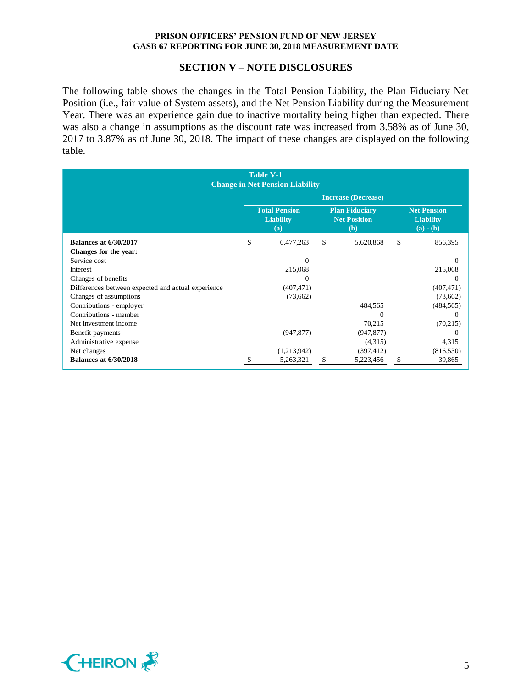#### **SECTION V – NOTE DISCLOSURES**

The following table shows the changes in the Total Pension Liability, the Plan Fiduciary Net Position (i.e., fair value of System assets), and the Net Pension Liability during the Measurement Year. There was an experience gain due to inactive mortality being higher than expected. There was also a change in assumptions as the discount rate was increased from 3.58% as of June 30, 2017 to 3.87% as of June 30, 2018. The impact of these changes are displayed on the following table.

| <b>Table V-1</b><br><b>Change in Net Pension Liability</b> |                            |                                                 |    |                                                            |    |                                                       |
|------------------------------------------------------------|----------------------------|-------------------------------------------------|----|------------------------------------------------------------|----|-------------------------------------------------------|
|                                                            | <b>Increase (Decrease)</b> |                                                 |    |                                                            |    |                                                       |
|                                                            |                            | <b>Total Pension</b><br><b>Liability</b><br>(a) |    | <b>Plan Fiduciary</b><br><b>Net Position</b><br><b>(b)</b> |    | <b>Net Pension</b><br><b>Liability</b><br>$(a) - (b)$ |
| <b>Balances at 6/30/2017</b>                               | \$                         | 6,477,263                                       | \$ | 5,620,868                                                  | \$ | 856,395                                               |
| Changes for the year:                                      |                            |                                                 |    |                                                            |    |                                                       |
| Service cost                                               |                            | $\Omega$                                        |    |                                                            |    | $\Omega$                                              |
| Interest                                                   |                            | 215,068                                         |    |                                                            |    | 215,068                                               |
| Changes of benefits                                        |                            | $\theta$                                        |    |                                                            |    | $\Omega$                                              |
| Differences between expected and actual experience         |                            | (407, 471)                                      |    |                                                            |    | (407, 471)                                            |
| Changes of assumptions                                     |                            | (73,662)                                        |    |                                                            |    | (73,662)                                              |
| Contributions - employer                                   |                            |                                                 |    | 484,565                                                    |    | (484, 565)                                            |
| Contributions - member                                     |                            |                                                 |    | $\Omega$                                                   |    | $\Omega$                                              |
| Net investment income                                      |                            |                                                 |    | 70,215                                                     |    | (70,215)                                              |
| Benefit payments                                           |                            | (947, 877)                                      |    | (947, 877)                                                 |    | $\Omega$                                              |
| Administrative expense                                     |                            |                                                 |    | (4,315)                                                    |    | 4,315                                                 |
| Net changes                                                |                            | (1,213,942)                                     |    | (397, 412)                                                 |    | (816, 530)                                            |
| <b>Balances at 6/30/2018</b>                               |                            | 5,263,321                                       | \$ | 5,223,456                                                  | \$ | 39,865                                                |

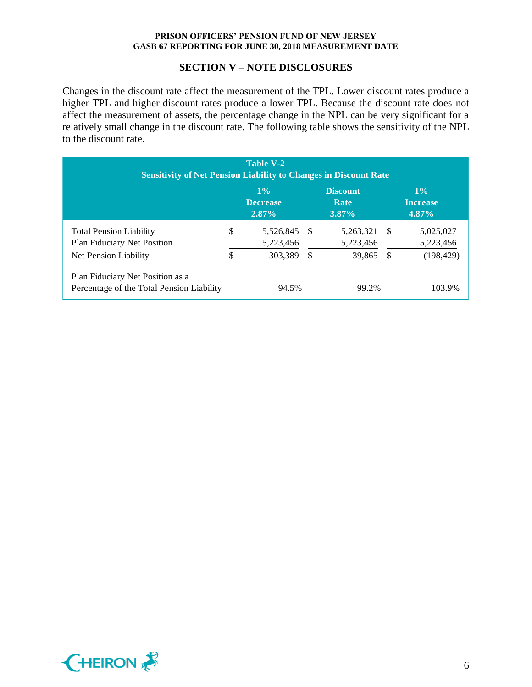#### **SECTION V – NOTE DISCLOSURES**

Changes in the discount rate affect the measurement of the TPL. Lower discount rates produce a higher TPL and higher discount rates produce a lower TPL. Because the discount rate does not affect the measurement of assets, the percentage change in the NPL can be very significant for a relatively small change in the discount rate. The following table shows the sensitivity of the NPL to the discount rate.

| <b>Table V-2</b><br><b>Sensitivity of Net Pension Liability to Changes in Discount Rate</b> |    |                                      |    |                                     |     |                                      |
|---------------------------------------------------------------------------------------------|----|--------------------------------------|----|-------------------------------------|-----|--------------------------------------|
|                                                                                             |    | $1\%$<br><b>Decrease</b><br>$2.87\%$ |    | <b>Discount</b><br>Rate<br>$3.87\%$ |     | $1\%$<br><b>Increase</b><br>$4.87\%$ |
| <b>Total Pension Liability</b><br><b>Plan Fiduciary Net Position</b>                        | \$ | 5,526,845<br>5,223,456               | -S | 5,263,321<br>5,223,456              | - S | 5,025,027<br>5,223,456               |
| Net Pension Liability                                                                       |    | 303,389                              | S  | 39,865                              | \$  | (198, 429)                           |
| Plan Fiduciary Net Position as a<br>Percentage of the Total Pension Liability               |    | 94.5%                                |    | 99.2%                               |     | 103.9%                               |

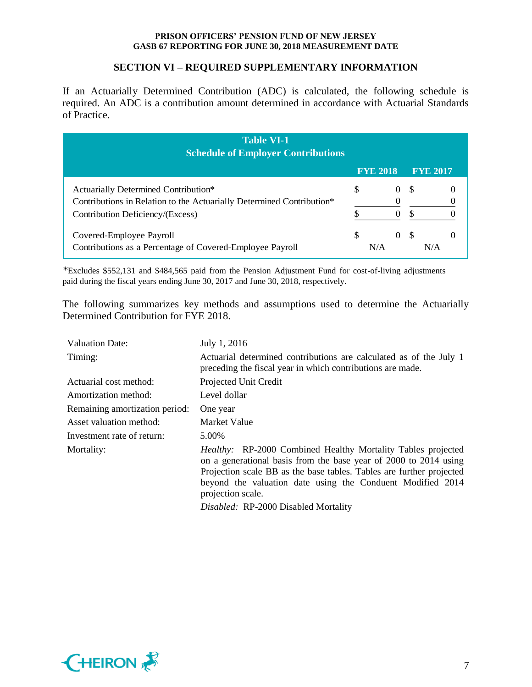## **SECTION VI – REQUIRED SUPPLEMENTARY INFORMATION**

If an Actuarially Determined Contribution (ADC) is calculated, the following schedule is required. An ADC is a contribution amount determined in accordance with Actuarial Standards of Practice.

| <b>Table VI-1</b><br><b>Schedule of Employer Contributions</b>                                                |                 |          |                 |  |
|---------------------------------------------------------------------------------------------------------------|-----------------|----------|-----------------|--|
|                                                                                                               | <b>FYE 2018</b> |          | <b>FYE 2017</b> |  |
| Actuarially Determined Contribution*<br>Contributions in Relation to the Actuarially Determined Contribution* | \$              | $\theta$ | -S              |  |
| Contribution Deficiency/(Excess)                                                                              |                 |          |                 |  |
| Covered-Employee Payroll<br>Contributions as a Percentage of Covered-Employee Payroll                         | \$<br>N/A       | $\Omega$ | -8<br>N/A       |  |

*\**Excludes \$552,131 and \$484,565 paid from the Pension Adjustment Fund for cost-of-living adjustments paid during the fiscal years ending June 30, 2017 and June 30, 2018, respectively.

The following summarizes key methods and assumptions used to determine the Actuarially Determined Contribution for FYE 2018.

| <b>Valuation Date:</b>         | July 1, 2016                                                                                                                                                                                                                                                                                       |
|--------------------------------|----------------------------------------------------------------------------------------------------------------------------------------------------------------------------------------------------------------------------------------------------------------------------------------------------|
| Timing:                        | Actuarial determined contributions are calculated as of the July 1<br>preceding the fiscal year in which contributions are made.                                                                                                                                                                   |
| Actuarial cost method:         | Projected Unit Credit                                                                                                                                                                                                                                                                              |
| Amortization method:           | Level dollar                                                                                                                                                                                                                                                                                       |
| Remaining amortization period: | One year                                                                                                                                                                                                                                                                                           |
| Asset valuation method:        | Market Value                                                                                                                                                                                                                                                                                       |
| Investment rate of return:     | 5.00%                                                                                                                                                                                                                                                                                              |
| Mortality:                     | <i>Healthy:</i> RP-2000 Combined Healthy Mortality Tables projected<br>on a generational basis from the base year of 2000 to 2014 using<br>Projection scale BB as the base tables. Tables are further projected<br>beyond the valuation date using the Conduent Modified 2014<br>projection scale. |
|                                | Disabled: RP-2000 Disabled Mortality                                                                                                                                                                                                                                                               |

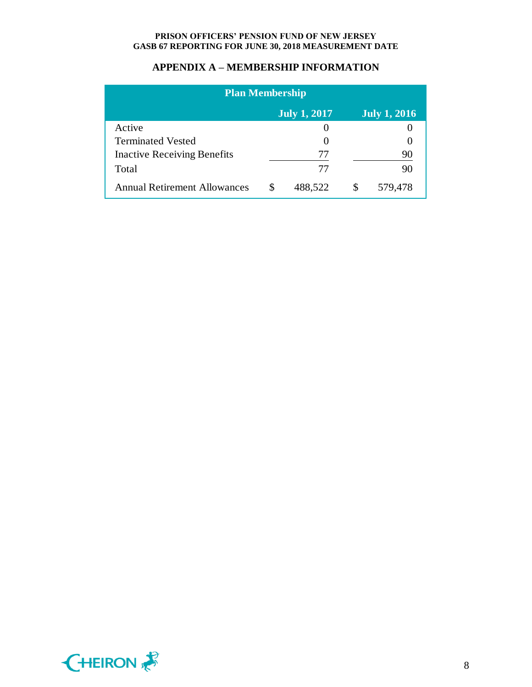## **APPENDIX A – MEMBERSHIP INFORMATION**

| <b>Plan Membership</b>              |    |         |     |         |  |
|-------------------------------------|----|---------|-----|---------|--|
| July 1, 2017<br><b>July 1, 2016</b> |    |         |     |         |  |
| Active                              |    |         |     |         |  |
| <b>Terminated Vested</b>            |    |         |     |         |  |
| <b>Inactive Receiving Benefits</b>  |    | 77      |     | 90      |  |
| Total                               |    | 77      |     | 90      |  |
| <b>Annual Retirement Allowances</b> | £. | 488,522 | \$. | 579,478 |  |

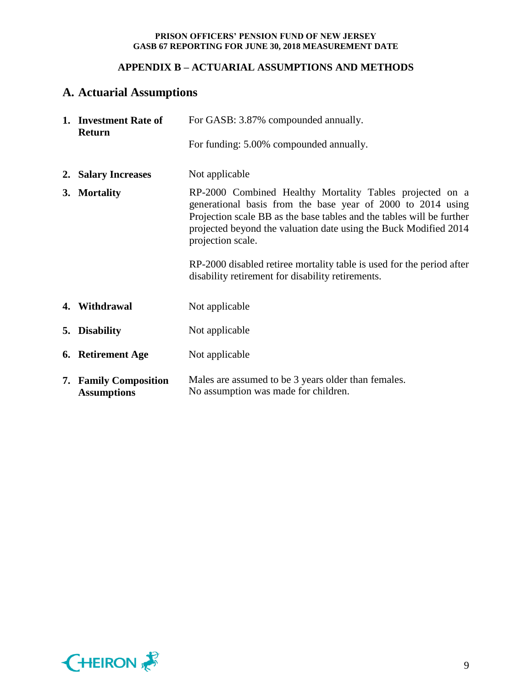# **APPENDIX B – ACTUARIAL ASSUMPTIONS AND METHODS**

# **A. Actuarial Assumptions**

| 1. Investment Rate of<br><b>Return</b>      | For GASB: 3.87% compounded annually.                                                                                                                                                                                                                                                      |
|---------------------------------------------|-------------------------------------------------------------------------------------------------------------------------------------------------------------------------------------------------------------------------------------------------------------------------------------------|
|                                             | For funding: 5.00% compounded annually.                                                                                                                                                                                                                                                   |
| 2. Salary Increases                         | Not applicable                                                                                                                                                                                                                                                                            |
| 3. Mortality                                | RP-2000 Combined Healthy Mortality Tables projected on a<br>generational basis from the base year of 2000 to 2014 using<br>Projection scale BB as the base tables and the tables will be further<br>projected beyond the valuation date using the Buck Modified 2014<br>projection scale. |
|                                             | RP-2000 disabled retiree mortality table is used for the period after<br>disability retirement for disability retirements.                                                                                                                                                                |
| 4. Withdrawal                               | Not applicable                                                                                                                                                                                                                                                                            |
| 5. Disability                               | Not applicable                                                                                                                                                                                                                                                                            |
| 6. Retirement Age                           | Not applicable                                                                                                                                                                                                                                                                            |
| 7. Family Composition<br><b>Assumptions</b> | Males are assumed to be 3 years older than females.<br>No assumption was made for children.                                                                                                                                                                                               |

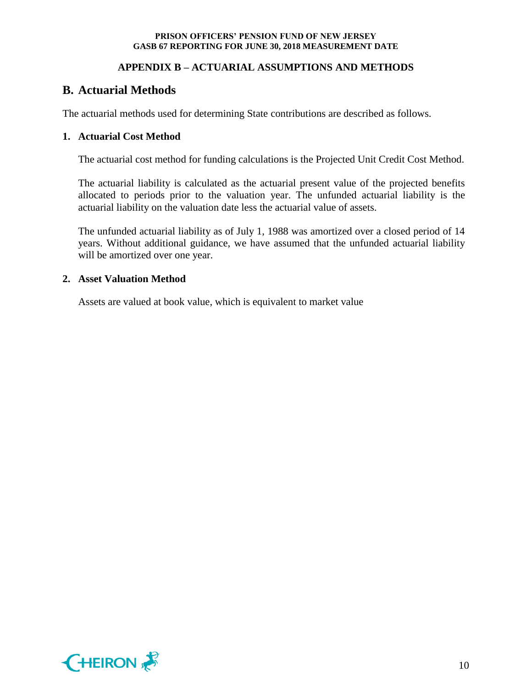# **APPENDIX B – ACTUARIAL ASSUMPTIONS AND METHODS**

# **B. Actuarial Methods**

The actuarial methods used for determining State contributions are described as follows.

## **1. Actuarial Cost Method**

The actuarial cost method for funding calculations is the Projected Unit Credit Cost Method.

The actuarial liability is calculated as the actuarial present value of the projected benefits allocated to periods prior to the valuation year. The unfunded actuarial liability is the actuarial liability on the valuation date less the actuarial value of assets.

The unfunded actuarial liability as of July 1, 1988 was amortized over a closed period of 14 years. Without additional guidance, we have assumed that the unfunded actuarial liability will be amortized over one year.

#### **2. Asset Valuation Method**

Assets are valued at book value, which is equivalent to market value

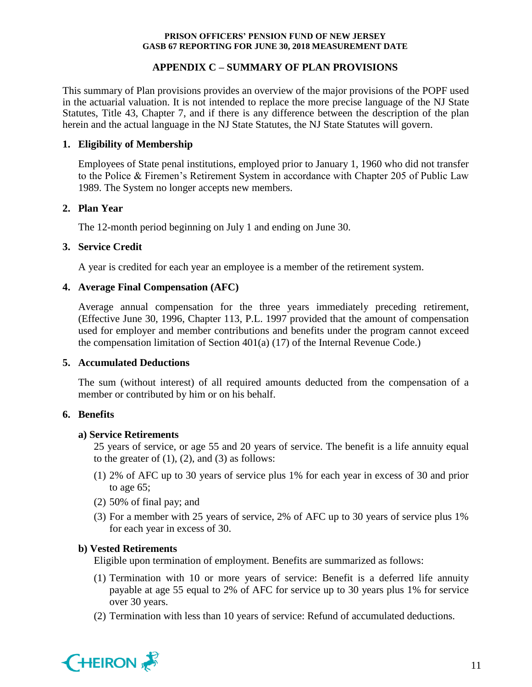## **APPENDIX C – SUMMARY OF PLAN PROVISIONS**

This summary of Plan provisions provides an overview of the major provisions of the POPF used in the actuarial valuation. It is not intended to replace the more precise language of the NJ State Statutes, Title 43, Chapter 7, and if there is any difference between the description of the plan herein and the actual language in the NJ State Statutes, the NJ State Statutes will govern.

## **1. Eligibility of Membership**

Employees of State penal institutions, employed prior to January 1, 1960 who did not transfer to the Police & Firemen's Retirement System in accordance with Chapter 205 of Public Law 1989. The System no longer accepts new members.

#### **2. Plan Year**

The 12-month period beginning on July 1 and ending on June 30.

## **3. Service Credit**

A year is credited for each year an employee is a member of the retirement system.

## **4. Average Final Compensation (AFC)**

Average annual compensation for the three years immediately preceding retirement, (Effective June 30, 1996, Chapter 113, P.L. 1997 provided that the amount of compensation used for employer and member contributions and benefits under the program cannot exceed the compensation limitation of Section 401(a) (17) of the Internal Revenue Code.)

### **5. Accumulated Deductions**

The sum (without interest) of all required amounts deducted from the compensation of a member or contributed by him or on his behalf.

#### **6. Benefits**

#### **a) Service Retirements**

25 years of service, or age 55 and 20 years of service. The benefit is a life annuity equal to the greater of  $(1)$ ,  $(2)$ , and  $(3)$  as follows:

- (1) 2% of AFC up to 30 years of service plus 1% for each year in excess of 30 and prior to age 65;
- (2) 50% of final pay; and
- (3) For a member with 25 years of service, 2% of AFC up to 30 years of service plus 1% for each year in excess of 30.

# **b) Vested Retirements**

Eligible upon termination of employment. Benefits are summarized as follows:

- (1) Termination with 10 or more years of service: Benefit is a deferred life annuity payable at age 55 equal to 2% of AFC for service up to 30 years plus 1% for service over 30 years.
- (2) Termination with less than 10 years of service: Refund of accumulated deductions.

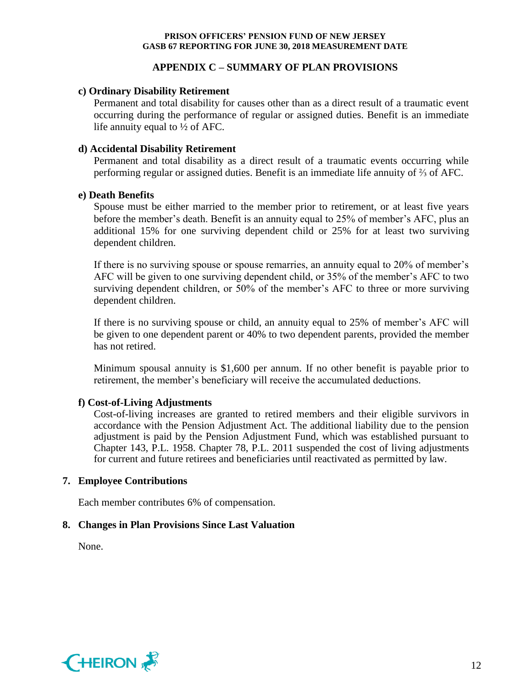## **APPENDIX C – SUMMARY OF PLAN PROVISIONS**

### **c) Ordinary Disability Retirement**

Permanent and total disability for causes other than as a direct result of a traumatic event occurring during the performance of regular or assigned duties. Benefit is an immediate life annuity equal to ½ of AFC.

## **d) Accidental Disability Retirement**

Permanent and total disability as a direct result of a traumatic events occurring while performing regular or assigned duties. Benefit is an immediate life annuity of ⅔ of AFC.

#### **e) Death Benefits**

Spouse must be either married to the member prior to retirement, or at least five years before the member's death. Benefit is an annuity equal to 25% of member's AFC, plus an additional 15% for one surviving dependent child or 25% for at least two surviving dependent children.

If there is no surviving spouse or spouse remarries, an annuity equal to 20% of member's AFC will be given to one surviving dependent child, or 35% of the member's AFC to two surviving dependent children, or 50% of the member's AFC to three or more surviving dependent children.

If there is no surviving spouse or child, an annuity equal to 25% of member's AFC will be given to one dependent parent or 40% to two dependent parents, provided the member has not retired.

Minimum spousal annuity is \$1,600 per annum. If no other benefit is payable prior to retirement, the member's beneficiary will receive the accumulated deductions.

# **f) Cost-of-Living Adjustments**

Cost-of-living increases are granted to retired members and their eligible survivors in accordance with the Pension Adjustment Act. The additional liability due to the pension adjustment is paid by the Pension Adjustment Fund, which was established pursuant to Chapter 143, P.L. 1958. Chapter 78, P.L. 2011 suspended the cost of living adjustments for current and future retirees and beneficiaries until reactivated as permitted by law.

### **7. Employee Contributions**

Each member contributes 6% of compensation.

# **8. Changes in Plan Provisions Since Last Valuation**

None.

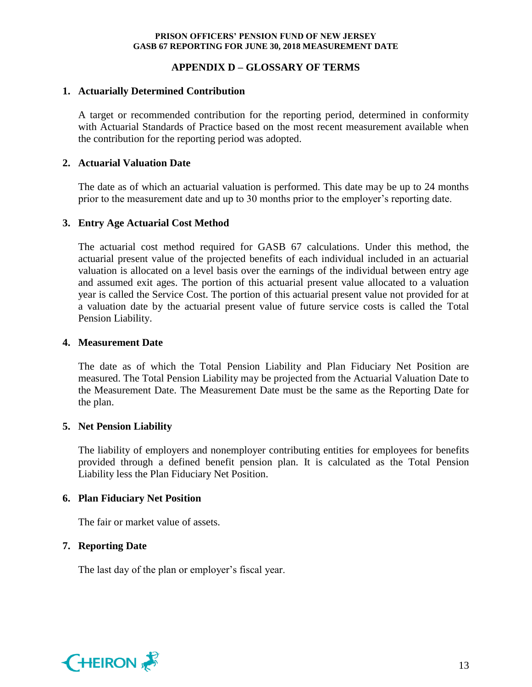## **APPENDIX D – GLOSSARY OF TERMS**

## **1. Actuarially Determined Contribution**

A target or recommended contribution for the reporting period, determined in conformity with Actuarial Standards of Practice based on the most recent measurement available when the contribution for the reporting period was adopted.

## **2. Actuarial Valuation Date**

The date as of which an actuarial valuation is performed. This date may be up to 24 months prior to the measurement date and up to 30 months prior to the employer's reporting date.

## **3. Entry Age Actuarial Cost Method**

The actuarial cost method required for GASB 67 calculations. Under this method, the actuarial present value of the projected benefits of each individual included in an actuarial valuation is allocated on a level basis over the earnings of the individual between entry age and assumed exit ages. The portion of this actuarial present value allocated to a valuation year is called the Service Cost. The portion of this actuarial present value not provided for at a valuation date by the actuarial present value of future service costs is called the Total Pension Liability.

#### **4. Measurement Date**

The date as of which the Total Pension Liability and Plan Fiduciary Net Position are measured. The Total Pension Liability may be projected from the Actuarial Valuation Date to the Measurement Date. The Measurement Date must be the same as the Reporting Date for the plan.

#### **5. Net Pension Liability**

The liability of employers and nonemployer contributing entities for employees for benefits provided through a defined benefit pension plan. It is calculated as the Total Pension Liability less the Plan Fiduciary Net Position.

#### **6. Plan Fiduciary Net Position**

The fair or market value of assets.

# **7. Reporting Date**

The last day of the plan or employer's fiscal year.